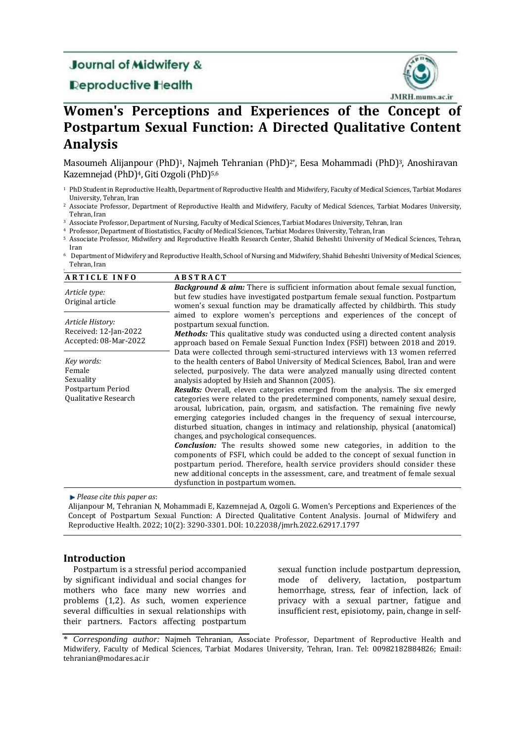# **Journal of Midwifery &**

## **Deproductive Health**



# **Women's Perceptions and Experiences of the Concept of Postpartum Sexual Function: A Directed Qualitative Content Analysis**

Masoumeh Alijanpour (PhD)<sup>1</sup>, Najmeh Tehranian (PhD)<sup>2\*</sup>, Eesa Mohammadi (PhD)<sup>3</sup>, Anoshiravan Kazemnejad (PhD)<sup>4</sup>, Giti Ozgoli (PhD)<sup>5,6</sup>

- <sup>1</sup> PhD Student in Reproductive Health, Department of Reproductive Health and Midwifery, Faculty of Medical Sciences, Tarbiat Modares University, Tehran, Iran
- <sup>2</sup> Associate Professor, Department of Reproductive Health and Midwifery, Faculty of Medical Sciences, Tarbiat Modares University, Tehran, Iran
- <sup>3</sup> Associate Professor, Department of Nursing, Faculty of Medical Sciences, Tarbiat Modares University, Tehran, Iran
- <sup>4</sup> Professor, Department of Biostatistics, Faculty of Medical Sciences, Tarbiat Modares University, Tehran, Iran
- <sup>5</sup> Associate Professor, Midwifery and Reproductive Health Research Center, Shahid Beheshti University of Medical Sciences, Tehran, Iran

<sup>6</sup> Department of Midwifery and Reproductive Health, School of Nursing and Midwifery, Shahid Beheshti University of Medical Sciences, Tehran, Iran

| <b>ARTICLE INFO</b>                                                            | <b>ABSTRACT</b>                                                                                                                                                                                                                                                                                                                                                                                                                                                                                                                                                                                                                                                                                                                                                                                                                                                                                                                                                                                                                                                             |  |  |
|--------------------------------------------------------------------------------|-----------------------------------------------------------------------------------------------------------------------------------------------------------------------------------------------------------------------------------------------------------------------------------------------------------------------------------------------------------------------------------------------------------------------------------------------------------------------------------------------------------------------------------------------------------------------------------------------------------------------------------------------------------------------------------------------------------------------------------------------------------------------------------------------------------------------------------------------------------------------------------------------------------------------------------------------------------------------------------------------------------------------------------------------------------------------------|--|--|
| Article type:<br>Original article                                              | <b>Background &amp; aim:</b> There is sufficient information about female sexual function,<br>but few studies have investigated postpartum female sexual function. Postpartum<br>women's sexual function may be dramatically affected by childbirth. This study<br>aimed to explore women's perceptions and experiences of the concept of<br>postpartum sexual function.<br><b>Methods:</b> This qualitative study was conducted using a directed content analysis<br>approach based on Female Sexual Function Index (FSFI) between 2018 and 2019.<br>Data were collected through semi-structured interviews with 13 women referred                                                                                                                                                                                                                                                                                                                                                                                                                                         |  |  |
| Article History:<br>Received: 12-Jan-2022<br>Accepted: 08-Mar-2022             |                                                                                                                                                                                                                                                                                                                                                                                                                                                                                                                                                                                                                                                                                                                                                                                                                                                                                                                                                                                                                                                                             |  |  |
| Key words:<br>Female<br>Sexuality<br>Postpartum Period<br>Qualitative Research | to the health centers of Babol University of Medical Sciences, Babol, Iran and were<br>selected, purposively. The data were analyzed manually using directed content<br>analysis adopted by Hsieh and Shannon (2005).<br><b>Results:</b> Overall, eleven categories emerged from the analysis. The six emerged<br>categories were related to the predetermined components, namely sexual desire,<br>arousal, lubrication, pain, orgasm, and satisfaction. The remaining five newly<br>emerging categories included changes in the frequency of sexual intercourse,<br>disturbed situation, changes in intimacy and relationship, physical (anatomical)<br>changes, and psychological consequences.<br><b>Conclusion:</b> The results showed some new categories, in addition to the<br>components of FSFI, which could be added to the concept of sexual function in<br>postpartum period. Therefore, health service providers should consider these<br>new additional concepts in the assessment, care, and treatment of female sexual<br>dysfunction in postpartum women. |  |  |

*Please cite this paper as*:

Alijanpour M, Tehranian N, Mohammadi E, Kazemnejad A, Ozgoli G. Women's Perceptions and Experiences of the Concept of Postpartum Sexual Function: A Directed Qualitative Content Analysis. Journal of Midwifery and Reproductive Health. 2022; 10(2): 3290-3301. DOI: 10.22038/jmrh.2022.62917.1797

### **Introduction**

Postpartum is a stressful period accompanied by significant individual and social changes for mothers who face many new worries and problems (1,2). As such, women experience several difficulties in sexual relationships with their partners. Factors affecting postpartum sexual function include postpartum depression, mode of delivery, lactation, postpartum hemorrhage, stress, fear of infection, lack of privacy with a sexual partner, fatigue and insufficient rest, episiotomy, pain, change in self-

<sup>\*</sup> *Corresponding author:* Najmeh Tehranian, Associate Professor, Department of Reproductive Health and Midwifery, Faculty of Medical Sciences, Tarbiat Modares University, Tehran, Iran. Tel: 00982182884826; Email: tehranian@modares.ac.ir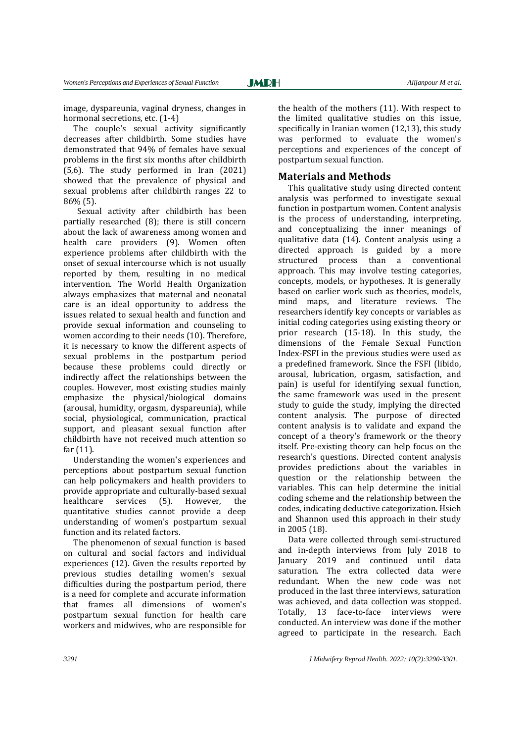image, dyspareunia, vaginal dryness, changes in hormonal secretions, etc.  $(1-4)$ 

The couple's sexual activity significantly decreases after childbirth. Some studies have demonstrated that 94% of females have sexual problems in the first six months after childbirth (5,6). The study performed in Iran (2021) showed that the prevalence of physical and sexual problems after childbirth ranges 22 to 86% (5).

 Sexual activity after childbirth has been partially researched (8); there is still concern about the lack of awareness among women and health care providers (9). Women often experience problems after childbirth with the onset of sexual intercourse which is not usually reported by them, resulting in no medical intervention. The World Health Organization always emphasizes that maternal and neonatal care is an ideal opportunity to address the issues related to sexual health and function and provide sexual information and counseling to women according to their needs (10). Therefore, it is necessary to know the different aspects of sexual problems in the postpartum period because these problems could directly or indirectly affect the relationships between the couples. However, most existing studies mainly emphasize the physical/biological domains (arousal, humidity, orgasm, dyspareunia), while social, physiological, communication, practical support, and pleasant sexual function after childbirth have not received much attention so far (11).

Understanding the women's experiences and perceptions about postpartum sexual function can help policymakers and health providers to provide appropriate and culturally-based sexual healthcare services (5). However, the quantitative studies cannot provide a deep understanding of women's postpartum sexual function and its related factors.

The phenomenon of sexual function is based on cultural and social factors and individual experiences (12). Given the results reported by previous studies detailing women's sexual difficulties during the postpartum period, there is a need for complete and accurate information that frames all dimensions of women's postpartum sexual function for health care workers and midwives, who are responsible for the health of the mothers (11). With respect to the limited qualitative studies on this issue, specifically in Iranian women (12,13), this study was performed to evaluate the women's perceptions and experiences of the concept of postpartum sexual function.

#### **Materials and Methods**

This qualitative study using directed content analysis was performed to investigate sexual function in postpartum women. Content analysis is the process of understanding, interpreting, and conceptualizing the inner meanings of qualitative data (14). Content analysis using a directed approach is guided by a more structured process than a conventional approach. This may involve testing categories, concepts, models, or hypotheses. It is generally based on earlier work such as theories, models, mind maps, and literature reviews. The researchers identify key concepts or variables as initial coding categories using existing theory or prior research (15-18). In this study, the dimensions of the Female Sexual Function Index-FSFI in the previous studies were used as a predefined framework. Since the FSFI (libido, arousal, lubrication, orgasm, satisfaction, and pain) is useful for identifying sexual function, the same framework was used in the present study to guide the study, implying the directed content analysis. The purpose of directed content analysis is to validate and expand the concept of a theory's framework or the theory itself. Pre-existing theory can help focus on the research's questions. Directed content analysis provides predictions about the variables in question or the relationship between the variables. This can help determine the initial coding scheme and the relationship between the codes, indicating deductive categorization. Hsieh and Shannon used this approach in their study in 2005 (18).

Data were collected through semi-structured and in-depth interviews from July 2018 to January 2019 and continued until data saturation. The extra collected data were redundant. When the new code was not produced in the last three interviews, saturation was achieved, and data collection was stopped. Totally, 13 face-to-face interviews were conducted. An interview was done if the mother agreed to participate in the research. Each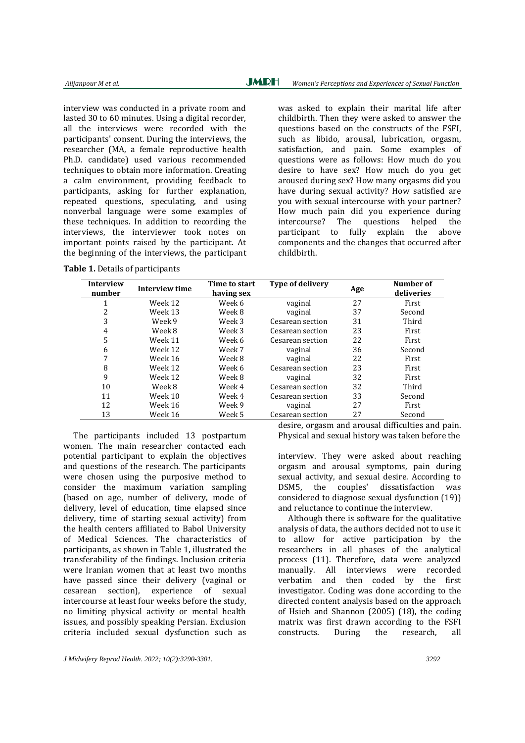interview was conducted in a private room and lasted 30 to 60 minutes. Using a digital recorder, all the interviews were recorded with the participants' consent. During the interviews, the researcher (MA, a female reproductive health Ph.D. candidate) used various recommended techniques to obtain more information. Creating a calm environment, providing feedback to participants, asking for further explanation, repeated questions, speculating, and using nonverbal language were some examples of these techniques. In addition to recording the interviews, the interviewer took notes on important points raised by the participant. At the beginning of the interviews, the participant

**Table 1.** Details of participants

was asked to explain their marital life after childbirth. Then they were asked to answer the questions based on the constructs of the FSFI, such as libido, arousal, lubrication, orgasm, satisfaction, and pain. Some examples of questions were as follows: How much do you desire to have sex? How much do you get aroused during sex? How many orgasms did you have during sexual activity? How satisfied are you with sexual intercourse with your partner? How much pain did you experience during

intercourse? The questions helped the participant to fully explain the above components and the changes that occurred after childbirth.

| <b>Interview</b><br>number | Interview time | Time to start<br>having sex | <b>Type of delivery</b> | Age | Number of<br>deliveries |
|----------------------------|----------------|-----------------------------|-------------------------|-----|-------------------------|
|                            | Week 12        | Week 6                      | vaginal                 | 27  | First                   |
| 2                          | Week 13        | Week 8                      | vaginal                 | 37  | Second                  |
| 3                          | Week 9         | Week 3                      | Cesarean section        | 31  | Third                   |
| 4                          | Week 8         | Week 3                      | Cesarean section        | 23  | First                   |
| 5                          | Week 11        | Week 6                      | Cesarean section        | 22  | First                   |
| 6                          | Week 12        | Week 7                      | vaginal                 | 36  | Second                  |
| 7                          | Week 16        | Week 8                      | vaginal                 | 22  | First                   |
| 8                          | Week 12        | Week 6                      | Cesarean section        | 23  | First                   |
| 9                          | Week 12        | Week 8                      | vaginal                 | 32  | First                   |
| 10                         | Week 8         | Week 4                      | Cesarean section        | 32  | Third                   |
| 11                         | Week 10        | Week 4                      | Cesarean section        | 33  | Second                  |
| 12                         | Week 16        | Week 9                      | vaginal                 | 27  | First                   |
| 13                         | Week 16        | Week 5                      | Cesarean section        | 27  | Second                  |
|                            |                |                             |                         |     |                         |

The participants included 13 postpartum women. The main researcher contacted each potential participant to explain the objectives and questions of the research. The participants were chosen using the purposive method to consider the maximum variation sampling (based on age, number of delivery, mode of delivery, level of education, time elapsed since delivery, time of starting sexual activity) from the health centers affiliated to Babol University of Medical Sciences. The characteristics of participants, as shown in Table 1, illustrated the transferability of the findings. Inclusion criteria were Iranian women that at least two months have passed since their delivery (vaginal or cesarean section), experience of sexual intercourse at least four weeks before the study, no limiting physical activity or mental health issues, and possibly speaking Persian. Exclusion criteria included sexual dysfunction such as

desire, orgasm and arousal difficulties and pain. Physical and sexual history was taken before the

interview. They were asked about reaching orgasm and arousal symptoms, pain during sexual activity, and sexual desire. According to DSM5, the couples' dissatisfaction was considered to diagnose sexual dysfunction (19)) and reluctance to continue the interview.

Although there is software for the qualitative analysis of data, the authors decided not to use it to allow for active participation by the researchers in all phases of the analytical process (11). Therefore, data were analyzed manually. All interviews were recorded verbatim and then coded by the first investigator. Coding was done according to the directed content analysis based on the approach of Hsieh and Shannon (2005) (18), the coding matrix was first drawn according to the FSFI constructs. During the research, all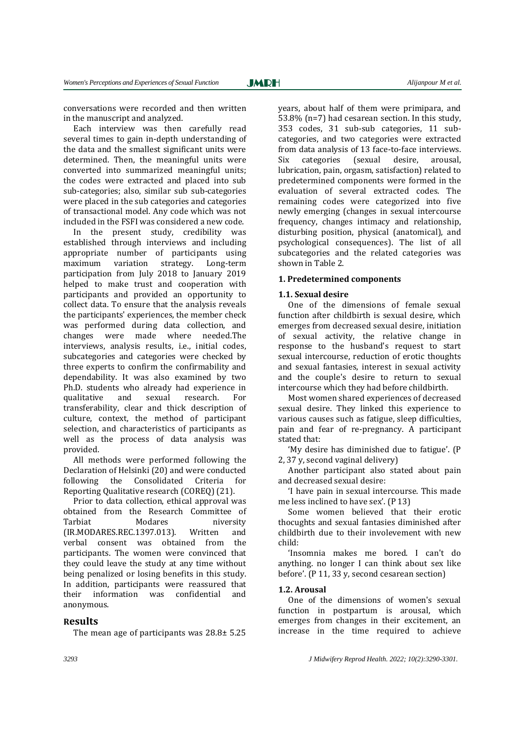conversations were recorded and then written in the manuscript and analyzed.

Each interview was then carefully read several times to gain in-depth understanding of the data and the smallest significant units were determined. Then, the meaningful units were converted into summarized meaningful units; the codes were extracted and placed into sub sub-categories; also, similar sub sub-categories were placed in the sub categories and categories of transactional model. Any code which was not included in the FSFI was considered a new code.

In the present study, credibility was established through interviews and including appropriate number of participants using maximum variation strategy. Long-term participation from July 2018 to January 2019 helped to make trust and cooperation with participants and provided an opportunity to collect data. To ensure that the analysis reveals the participants' experiences, the member check was performed during data collection, and changes were made where needed.The interviews, analysis results, i.e., initial codes, subcategories and categories were checked by three experts to confirm the confirmability and dependability. It was also examined by two Ph.D. students who already had experience in qualitative and sexual research. For transferability, clear and thick description of culture, context, the method of participant selection, and characteristics of participants as well as the process of data analysis was provided.

All methods were performed following the Declaration of Helsinki (20) and were conducted following the Consolidated Criteria for Reporting Qualitative research (COREQ) (21).

Prior to data collection, ethical approval was obtained from the Research Committee of Tarbiat Modares niversity (IR.MODARES.REC.1397.013). Written and verbal consent was obtained from the participants. The women were convinced that they could leave the study at any time without being penalized or losing benefits in this study. In addition, participants were reassured that their information was confidential and anonymous.

#### **Results**

The mean age of participants was 28.8± 5.25

years, about half of them were primipara, and 53.8% (n=7) had cesarean section. In this study, 353 codes, 31 sub-sub categories, 11 subcategories, and two categories were extracted from data analysis of 13 face-to-face interviews. Six categories (sexual desire, arousal, lubrication, pain, orgasm, satisfaction) related to predetermined components were formed in the evaluation of several extracted codes. The remaining codes were categorized into five newly emerging (changes in sexual intercourse frequency, changes intimacy and relationship, disturbing position, physical (anatomical), and psychological consequences). The list of all subcategories and the related categories was shown in Table 2.

#### **1. Predetermined components**

#### **1.1. Sexual desire**

One of the dimensions of female sexual function after childbirth is sexual desire, which emerges from decreased sexual desire, initiation of sexual activity, the relative change in response to the husband's request to start sexual intercourse, reduction of erotic thoughts and sexual fantasies, interest in sexual activity and the couple's desire to return to sexual intercourse which they had before childbirth.

Most women shared experiences of decreased sexual desire. They linked this experience to various causes such as fatigue, sleep difficulties, pain and fear of re-pregnancy. A participant stated that:

'My desire has diminished due to fatigue'. (P 2, 37 y, second vaginal delivery)

Another participant also stated about pain and decreased sexual desire:

'I have pain in sexual intercourse. This made me less inclined to have sex'. (P 13)

Some women believed that their erotic thocughts and sexual fantasies diminished after childbirth due to their involevement with new child:

'Insomnia makes me bored. I can't do anything. no longer I can think about sex like before'. (P 11, 33 y, second cesarean section)

#### **1.2. Arousal**

One of the dimensions of women's sexual function in postpartum is arousal, which emerges from changes in their excitement, an increase in the time required to achieve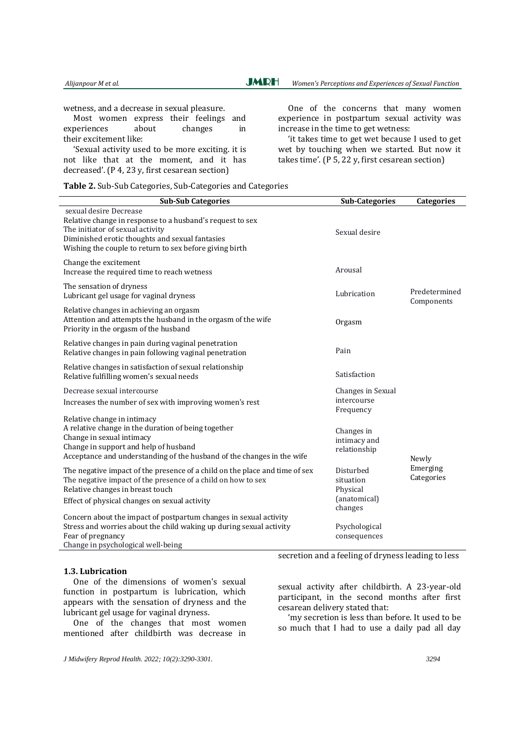wetness, and a decrease in sexual pleasure.

Most women express their feelings and experiences about changes in their excitement like:

'Sexual activity used to be more exciting. it is not like that at the moment, and it has decreased'. (P 4, 23 y, first cesarean section)

One of the concerns that many women experience in postpartum sexual activity was increase in the time to get wetness:

'it takes time to get wet because I used to get wet by touching when we started. But now it takes time'. (P 5, 22 y, first cesarean section)

**Table 2.** Sub-Sub Categories, Sub-Categories and Categories

| <b>Sub-Sub Categories</b>                                                                                                                                                                                                             | <b>Sub-Categories</b>                                         | Categories                  |  |
|---------------------------------------------------------------------------------------------------------------------------------------------------------------------------------------------------------------------------------------|---------------------------------------------------------------|-----------------------------|--|
| sexual desire Decrease<br>Relative change in response to a husband's request to sex<br>The initiator of sexual activity<br>Diminished erotic thoughts and sexual fantasies<br>Wishing the couple to return to sex before giving birth | Sexual desire                                                 |                             |  |
| Change the excitement<br>Increase the required time to reach wetness                                                                                                                                                                  | Arousal                                                       |                             |  |
| The sensation of dryness<br>Lubricant gel usage for vaginal dryness                                                                                                                                                                   | Lubrication                                                   | Predetermined<br>Components |  |
| Relative changes in achieving an orgasm<br>Attention and attempts the husband in the orgasm of the wife<br>Priority in the orgasm of the husband                                                                                      | Orgasm                                                        |                             |  |
| Relative changes in pain during vaginal penetration<br>Relative changes in pain following vaginal penetration                                                                                                                         | Pain                                                          |                             |  |
| Relative changes in satisfaction of sexual relationship<br>Relative fulfilling women's sexual needs                                                                                                                                   | Satisfaction                                                  |                             |  |
| Decrease sexual intercourse<br>Increases the number of sex with improving women's rest                                                                                                                                                | Changes in Sexual<br>intercourse<br>Frequency                 |                             |  |
| Relative change in intimacy<br>A relative change in the duration of being together<br>Change in sexual intimacy<br>Change in support and help of husband<br>Acceptance and understanding of the husband of the changes in the wife    | Changes in<br>intimacy and<br>relationship                    | Newly                       |  |
| The negative impact of the presence of a child on the place and time of sex<br>The negative impact of the presence of a child on how to sex<br>Relative changes in breast touch<br>Effect of physical changes on sexual activity      | Disturbed<br>situation<br>Physical<br>(anatomical)<br>changes | Emerging<br>Categories      |  |
| Concern about the impact of postpartum changes in sexual activity<br>Stress and worries about the child waking up during sexual activity<br>Fear of pregnancy<br>Change in psychological well-being                                   | Psychological<br>consequences                                 |                             |  |

#### **1.3. Lubrication**

One of the dimensions of women's sexual function in postpartum is lubrication, which appears with the sensation of dryness and the lubricant gel usage for vaginal dryness.

One of the changes that most women mentioned after childbirth was decrease in secretion and a feeling of dryness leading to less

sexual activity after childbirth. A 23-year-old participant, in the second months after first cesarean delivery stated that:

'my secretion is less than before. It used to be so much that I had to use a daily pad all day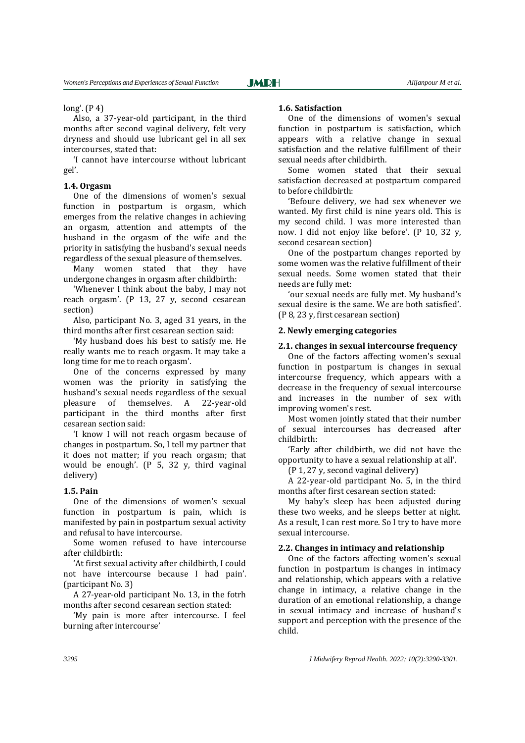#### long'. (P 4)

Also, a 37-year-old participant, in the third months after second vaginal delivery, felt very dryness and should use lubricant gel in all sex intercourses, stated that:

'I cannot have intercourse without lubricant gel'.

#### **1.4. Orgasm**

One of the dimensions of women's sexual function in postpartum is orgasm, which emerges from the relative changes in achieving an orgasm, attention and attempts of the husband in the orgasm of the wife and the priority in satisfying the husband's sexual needs regardless of the sexual pleasure of themselves.

Many women stated that they have undergone changes in orgasm after childbirth:

'Whenever I think about the baby, I may not reach orgasm'. (P 13, 27 y, second cesarean section)

Also, participant No. 3, aged 31 years, in the third months after first cesarean section said:

'My husband does his best to satisfy me. He really wants me to reach orgasm. It may take a long time for me to reach orgasm'.

One of the concerns expressed by many women was the priority in satisfying the husband's sexual needs regardless of the sexual pleasure of themselves. A 22-year-old participant in the third months after first cesarean section said:

'I know I will not reach orgasm because of changes in postpartum. So, I tell my partner that it does not matter; if you reach orgasm; that would be enough'. (P 5, 32 y, third vaginal delivery)

#### **1.5. Pain**

One of the dimensions of women's sexual function in postpartum is pain, which is manifested by pain in postpartum sexual activity and refusal to have intercourse.

Some women refused to have intercourse after childbirth:

'At first sexual activity after childbirth, I could not have intercourse because I had pain'. (participant No. 3)

A 27-year-old participant No. 13, in the fotrh months after second cesarean section stated:

'My pain is more after intercourse. I feel burning after intercourse'

#### **1.6. Satisfaction**

One of the dimensions of women's sexual function in postpartum is satisfaction, which appears with a relative change in sexual satisfaction and the relative fulfillment of their sexual needs after childbirth.

Some women stated that their sexual satisfaction decreased at postpartum compared to before childbirth:

'Befoure delivery, we had sex whenever we wanted. My first child is nine years old. This is my second child. I was more interested than now. I did not enjoy like before'. (P 10, 32 y, second cesarean section)

One of the postpartum changes reported by some women was the relative fulfillment of their sexual needs. Some women stated that their needs are fully met:

'our sexual needs are fully met. My husband's sexual desire is the same. We are both satisfied'. (P 8, 23 y, first cesarean section)

#### **2. Newly emerging categories**

#### **2.1. changes in sexual intercourse frequency**

One of the factors affecting women's sexual function in postpartum is changes in sexual intercourse frequency, which appears with a decrease in the frequency of sexual intercourse and increases in the number of sex with improving women's rest.

Most women jointly stated that their number of sexual intercourses has decreased after childbirth:

'Early after childbirth, we did not have the opportunity to have a sexual relationship at all'.

(P 1, 27 y, second vaginal delivery)

A 22-year-old participant No. 5, in the third months after first cesarean section stated:

My baby's sleep has been adjusted during these two weeks, and he sleeps better at night. As a result, I can rest more. So I try to have more sexual intercourse.

#### **2.2. Changes in intimacy and relationship**

One of the factors affecting women's sexual function in postpartum is changes in intimacy and relationship, which appears with a relative change in intimacy, a relative change in the duration of an emotional relationship, a change in sexual intimacy and increase of husband's support and perception with the presence of the child.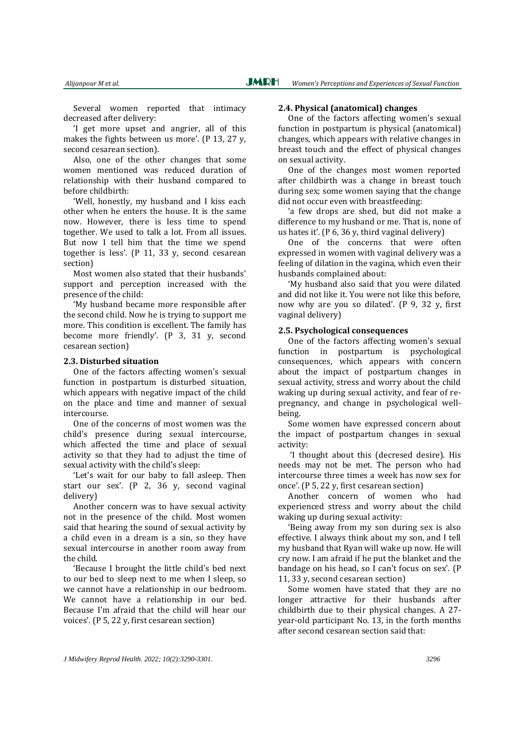Several women reported that intimacy decreased after delivery:

'I get more upset and angrier, all of this makes the fights between us more'. (P 13, 27 y, second cesarean section).

Also, one of the other changes that some women mentioned was reduced duration of relationship with their husband compared to before childbirth:

'Well, honestly, my husband and I kiss each other when he enters the house. It is the same now. However, there is less time to spend together. We used to talk a lot. From all issues. But now I tell him that the time we spend together is less'. (P 11, 33 y, second cesarean section)

Most women also stated that their husbands' support and perception increased with the presence of the child:

'My husband became more responsible after the second child. Now he is trying to support me more. This condition is excellent. The family has become more friendly'. (P 3, 31 y, second cesarean section)

#### **2.3. Disturbed situation**

One of the factors affecting women's sexual function in postpartum is disturbed situation, which appears with negative impact of the child on the place and time and manner of sexual intercourse.

One of the concerns of most women was the child's presence during sexual intercourse, which affected the time and place of sexual activity so that they had to adjust the time of sexual activity with the child's sleep:

'Let's wait for our baby to fall asleep. Then start our sex'. (P 2, 36 y, second vaginal delivery)

Another concern was to have sexual activity not in the presence of the child. Most women said that hearing the sound of sexual activity by a child even in a dream is a sin, so they have sexual intercourse in another room away from the child.

'Because I brought the little child's bed next to our bed to sleep next to me when I sleep, so we cannot have a relationship in our bedroom. We cannot have a relationship in our bed. Because I'm afraid that the child will hear our voices'. (P 5, 22 y, first cesarean section)

# **2.4. Physical (anatomical) changes**

One of the factors affecting women's sexual function in postpartum is physical (anatomical) changes, which appears with relative changes in breast touch and the effect of physical changes on sexual activity.

One of the changes most women reported after childbirth was a change in breast touch during sex; some women saying that the change did not occur even with breastfeeding:

'a few drops are shed, but did not make a difference to my husband or me. That is, none of us hates it'. (P 6, 36 y, third vaginal delivery)

One of the concerns that were often expressed in women with vaginal delivery was a feeling of dilation in the vagina, which even their husbands complained about:

'My husband also said that you were dilated and did not like it. You were not like this before, now why are you so dilated'. (P 9, 32 y, first vaginal delivery)

#### **2.5. Psychological consequences**

One of the factors affecting women's sexual function in postpartum is psychological consequences, which appears with concern about the impact of postpartum changes in sexual activity, stress and worry about the child waking up during sexual activity, and fear of repregnancy, and change in psychological wellbeing.

Some women have expressed concern about the impact of postpartum changes in sexual activity:

'I thought about this (decresed desire). His needs may not be met. The person who had intercourse three times a week has now sex for once'. (P 5, 22 y, first cesarean section)

Another concern of women who had experienced stress and worry about the child waking up during sexual activity:

'Being away from my son during sex is also effective. I always think about my son, and I tell my husband that Ryan will wake up now. He will cry now. I am afraid if he put the blanket and the bandage on his head, so I can't focus on sex'. (P 11, 33 y, second cesarean section)

Some women have stated that they are no longer attractive for their husbands after childbirth due to their physical changes. A 27 year-old participant No. 13, in the forth months after second cesarean section said that: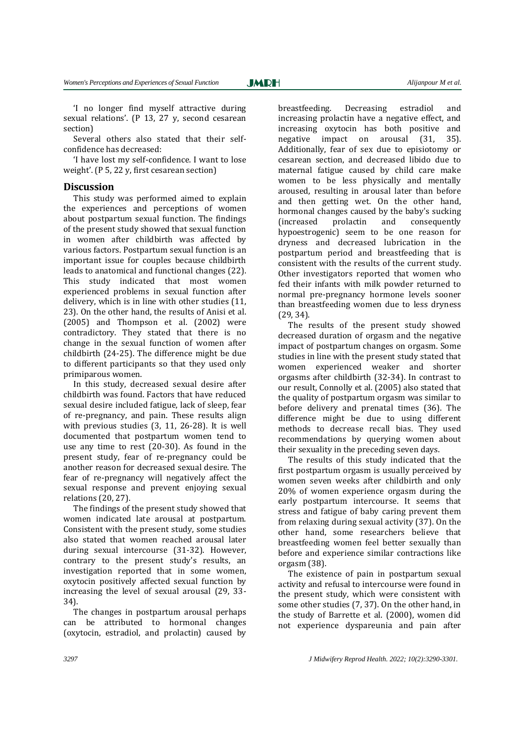Several others also stated that their selfconfidence has decreased:

'I have lost my self-confidence. I want to lose weight'. (P 5, 22 y, first cesarean section)

#### **Discussion**

This study was performed aimed to explain the experiences and perceptions of women about postpartum sexual function. The findings of the present study showed that sexual function in women after childbirth was affected by various factors. Postpartum sexual function is an important issue for couples because childbirth leads to anatomical and functional changes (22). This study indicated that most women experienced problems in sexual function after delivery, which is in line with other studies (11, 23). On the other hand, the results of Anisi et al. (2005) and Thompson et al. (2002) were contradictory. They stated that there is no change in the sexual function of women after childbirth (24-25). The difference might be due to different participants so that they used only primiparous women.

In this study, decreased sexual desire after childbirth was found. Factors that have reduced sexual desire included fatigue, lack of sleep, fear of re-pregnancy, and pain. These results align with previous studies (3, 11, 26-28). It is well documented that postpartum women tend to use any time to rest (20-30). As found in the present study, fear of re-pregnancy could be another reason for decreased sexual desire. The fear of re-pregnancy will negatively affect the sexual response and prevent enjoying sexual relations (20, 27).

The findings of the present study showed that women indicated late arousal at postpartum. Consistent with the present study, some studies also stated that women reached arousal later during sexual intercourse (31-32). However, contrary to the present study's results, an investigation reported that in some women, oxytocin positively affected sexual function by increasing the level of sexual arousal (29, 33- 34).

The changes in postpartum arousal perhaps can be attributed to hormonal changes (oxytocin, estradiol, and prolactin) caused by breastfeeding. Decreasing estradiol and increasing prolactin have a negative effect, and increasing oxytocin has both positive and negative impact on arousal (31, 35). Additionally, fear of sex due to episiotomy or cesarean section, and decreased libido due to maternal fatigue caused by child care make women to be less physically and mentally aroused, resulting in arousal later than before and then getting wet. On the other hand, hormonal changes caused by the baby's sucking (increased prolactin and consequently hypoestrogenic) seem to be one reason for dryness and decreased lubrication in the postpartum period and breastfeeding that is consistent with the results of the current study. Other investigators reported that women who fed their infants with milk powder returned to normal pre-pregnancy hormone levels sooner than breastfeeding women due to less dryness (29, 34).

The results of the present study showed decreased duration of orgasm and the negative impact of postpartum changes on orgasm. Some studies in line with the present study stated that women experienced weaker and shorter orgasms after childbirth (32-34). In contrast to our result, Connolly et al. (2005) also stated that the quality of postpartum orgasm was similar to before delivery and prenatal times (36). The difference might be due to using different methods to decrease recall bias. They used recommendations by querying women about their sexuality in the preceding seven days.

The results of this study indicated that the first postpartum orgasm is usually perceived by women seven weeks after childbirth and only 20% of women experience orgasm during the early postpartum intercourse. It seems that stress and fatigue of baby caring prevent them from relaxing during sexual activity (37). On the other hand, some researchers believe that breastfeeding women feel better sexually than before and experience similar contractions like orgasm (38).

The existence of pain in postpartum sexual activity and refusal to intercourse were found in the present study, which were consistent with some other studies (7, 37). On the other hand, in the study of Barrette et al. (2000), women did not experience dyspareunia and pain after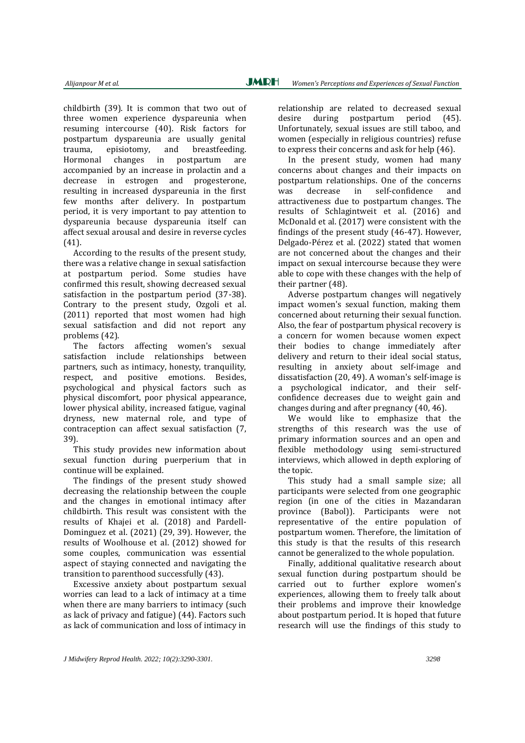childbirth (39). It is common that two out of three women experience dyspareunia when resuming intercourse (40). Risk factors for postpartum dyspareunia are usually genital trauma, episiotomy, and breastfeeding. Hormonal changes in postpartum are accompanied by an increase in prolactin and a decrease in estrogen and progesterone, resulting in increased dyspareunia in the first few months after delivery. In postpartum period, it is very important to pay attention to dyspareunia because dyspareunia itself can affect sexual arousal and desire in reverse cycles (41).

According to the results of the present study, there was a relative change in sexual satisfaction at postpartum period. Some studies have confirmed this result, showing decreased sexual satisfaction in the postpartum period (37-38). Contrary to the present study, Ozgoli et al. (2011) reported that most women had high sexual satisfaction and did not report any problems (42).

The factors affecting women's sexual satisfaction include relationships between partners, such as intimacy, honesty, tranquility, respect, and positive emotions. Besides, psychological and physical factors such as physical discomfort, poor physical appearance, lower physical ability, increased fatigue, vaginal dryness, new maternal role, and type of contraception can affect sexual satisfaction (7, 39).

This study provides new information about sexual function during puerperium that in continue will be explained.

The findings of the present study showed decreasing the relationship between the couple and the changes in emotional intimacy after childbirth. This result was consistent with the results of Khajei et al. (2018) and Pardell-Dominguez et al. (2021) (29, 39). However, the results of Woolhouse et al. (2012) showed for some couples, communication was essential aspect of staying connected and navigating the transition to parenthood successfully (43).

Excessive anxiety about postpartum sexual worries can lead to a lack of intimacy at a time when there are many barriers to intimacy (such as lack of privacy and fatigue) (44). Factors such as lack of communication and loss of intimacy in relationship are related to decreased sexual desire during postpartum period (45). Unfortunately, sexual issues are still taboo, and women (especially in religious countries) refuse to express their concerns and ask for help (46).

In the present study, women had many concerns about changes and their impacts on postpartum relationships. One of the concerns was decrease in self-confidence and attractiveness due to postpartum changes. The results of Schlagintweit et al. (2016) and McDonald et al. (2017) were consistent with the findings of the present study (46-47). However, Delgado-Pérez et al. (2022) stated that women are not concerned about the changes and their impact on sexual intercourse because they were able to cope with these changes with the help of their partner (48).

Adverse postpartum changes will negatively impact women's sexual function, making them concerned about returning their sexual function. Also, the fear of postpartum physical recovery is a concern for women because women expect their bodies to change immediately after delivery and return to their ideal social status, resulting in anxiety about self-image and dissatisfaction (20, 49). A woman's self-image is a psychological indicator, and their selfconfidence decreases due to weight gain and changes during and after pregnancy (40, 46).

We would like to emphasize that the strengths of this research was the use of primary information sources and an open and flexible methodology using semi-structured interviews, which allowed in depth exploring of the topic.

This study had a small sample size; all participants were selected from one geographic region (in one of the cities in Mazandaran province (Babol)). Participants were not representative of the entire population of postpartum women. Therefore, the limitation of this study is that the results of this research cannot be generalized to the whole population.

Finally, additional qualitative research about sexual function during postpartum should be carried out to further explore women's experiences, allowing them to freely talk about their problems and improve their knowledge about postpartum period. It is hoped that future research will use the findings of this study to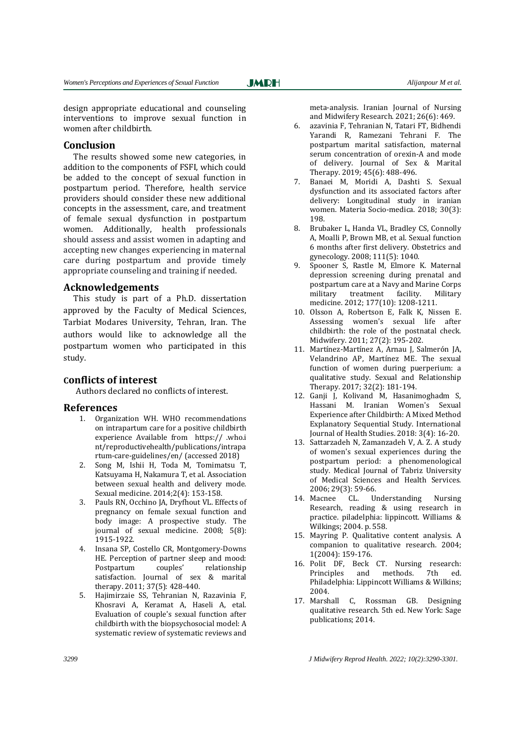design appropriate educational and counseling interventions to improve sexual function in women after childbirth.

**JMRH** 

#### **Conclusion**

The results showed some new categories, in addition to the components of FSFI, which could be added to the concept of sexual function in postpartum period. Therefore, health service providers should consider these new additional concepts in the assessment, care, and treatment of female sexual dysfunction in postpartum women. Additionally, health professionals should assess and assist women in adapting and accepting new changes experiencing in maternal care during postpartum and provide timely appropriate counseling and training if needed.

#### **Acknowledgements**

This study is part of a Ph.D. dissertation approved by the Faculty of Medical Sciences, Tarbiat Modares University, Tehran, Iran. The authors would like to acknowledge all the postpartum women who participated in this study.

#### **Conflicts of interest**

Authors declared no conflicts of interest.

#### **References**

- 1. Organization WH. WHO recommendations on intrapartum care for a positive childbirth experience Available from https:// .who.i nt/reproductivehealth/publications/intrapa rtum-care-guidelines/en/ (accessed 2018)
- 2. Song M, Ishii H, Toda M, Tomimatsu T, Katsuyama H, Nakamura T, et al. Association between sexual health and delivery mode. Sexual medicine. 2014;2(4): 153-158.
- 3. Pauls RN, Occhino JA, Dryfhout VL. Effects of pregnancy on female sexual function and body image: A prospective study. The journal of sexual medicine. 2008; 5(8): 1915-1922.
- 4. Insana SP, Costello CR, Montgomery-Downs HE. Perception of partner sleep and mood: Postpartum couples' relationship satisfaction. Journal of sex & marital therapy. 2011; 37(5): 428-440.
- 5. Hajimirzaie SS, Tehranian N, Razavinia F, Khosravi A, Keramat A, Haseli A, etal. Evaluation of couple's sexual function after childbirth with the biopsychosocial model: A systematic review of systematic reviews and

meta-analysis. Iranian Journal of Nursing and Midwifery Research. 2021; 26(6): 469.

- 6. azavinia F, Tehranian N, Tatari FT, Bidhendi Yarandi R, Ramezani Tehrani F. The postpartum marital satisfaction, maternal serum concentration of orexin-A and mode of delivery. Journal of Sex & Marital Therapy. 2019; 45(6): 488-496.
- 7. Banaei M, Moridi A, Dashti S. Sexual dysfunction and its associated factors after delivery: Longitudinal study in iranian women. Materia Socio-medica. 2018; 30(3): 198.
- 8. Brubaker L, Handa VL, Bradley CS, Connolly A, Moalli P, Brown MB, et al. Sexual function 6 months after first delivery. Obstetrics and gynecology. 2008; 111(5): 1040.
- 9. Spooner S, Rastle M, Elmore K. Maternal depression screening during prenatal and postpartum care at a Navy and Marine Corps military treatment facility. Military medicine. 2012; 177(10): 1208-1211.
- 10. Olsson A, Robertson E, Falk K, Nissen E. Assessing women's sexual life after childbirth: the role of the postnatal check. Midwifery. 2011; 27(2): 195-202.
- 11. Martínez-Martínez A, Arnau J, Salmerón JA, Velandrino AP, Martínez ME. The sexual function of women during puerperium: a qualitative study. Sexual and Relationship Therapy. 2017; 32(2): 181-194.
- 12. Ganji J, Kolivand M, Hasanimoghadm S, Hassani M. Iranian Women's Sexual Experience after Childbirth: A Mixed Method Explanatory Sequential Study. International Journal of Health Studies. 2018: 3(4): 16-20.
- 13. Sattarzadeh N, Zamanzadeh V, A. Z. A study of women's sexual experiences during the postpartum period: a phenomenological study. Medical Journal of Tabriz University of Medical Sciences and Health Services. 2006; 29(3): 59-66.
- 14. Macnee CL. Understanding Nursing Research, reading & using research in practice. piladelphia: lippincott. Williams & Wilkings; 2004. p. 558.
- 15. Mayring P. Qualitative content analysis. A companion to qualitative research. 2004; 1(2004): 159-176.
- 16. Polit DF, Beck CT. Nursing research: Principles and methods. 7th ed. Philadelphia: Lippincott Williams & Wilkins; 2004.
- 17. Marshall C, Rossman GB. Designing qualitative research. 5th ed. New York: Sage publications; 2014.

*3299 J Midwifery Reprod Health. 2022; 10(2):3290-3301.*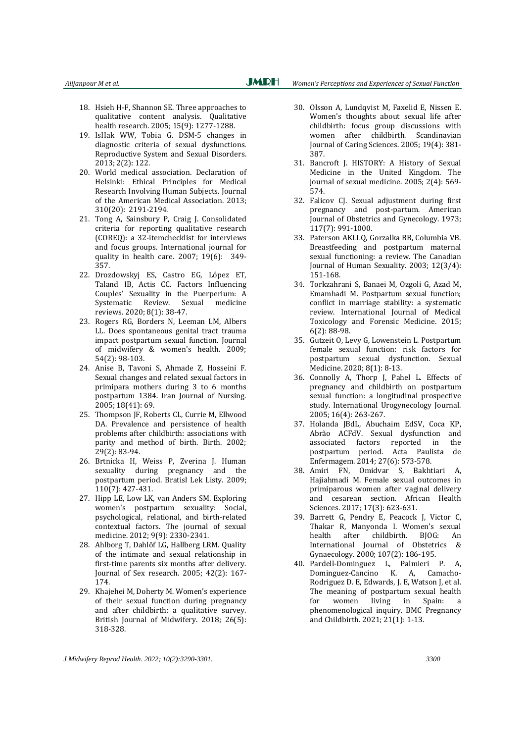- 18. Hsieh H-F, Shannon SE. Three approaches to qualitative content analysis. Qualitative health research. 2005; 15(9): 1277-1288.
- 19. IsHak WW, Tobia G. DSM-5 changes in diagnostic criteria of sexual dysfunctions. Reproductive System and Sexual Disorders. 2013; 2(2): 122.
- 20. World medical association. Declaration of Helsinki: Ethical Principles for Medical Research Involving Human Subjects. Journal of the American Medical Association. 2013; 310(20): 2191-2194.
- 21. Tong A, Sainsbury P, Craig J. Consolidated criteria for reporting qualitative research (COREQ): a 32-itemchecklist for interviews and focus groups. International journal for quality in health care. 2007; 19(6): 349- 357.
- 22. Drozdowskyj ES, Castro EG, López ET, Taland IB, Actis CC. Factors Influencing Couples' Sexuality in the Puerperium: A Systematic Review. Sexual medicine reviews. 2020; 8(1): 38-47.
- 23. Rogers RG, Borders N, Leeman LM, Albers LL. Does spontaneous genital tract trauma impact postpartum sexual function. Journal of midwifery & women's health. 2009; 54(2): 98-103.
- 24. Anise B, Tavoni S, Ahmade Z, Hosseini F. Sexual changes and related sexual factors in primipara mothers during 3 to 6 months postpartum 1384. Iran Journal of Nursing. 2005; 18(41): 69.
- 25. Thompson JF, Roberts CL, Currie M, Ellwood DA. Prevalence and persistence of health problems after childbirth: associations with parity and method of birth. Birth. 2002; 29(2): 83-94.
- 26. Brtnicka H, Weiss P, Zverina J. Human sexuality during pregnancy and the postpartum period. Bratisl Lek Listy. 2009; 110(7): 427-431.
- 27. Hipp LE, Low LK, van Anders SM. Exploring women's postpartum sexuality: Social, psychological, relational, and birth‐related contextual factors. The journal of sexual medicine. 2012; 9(9): 2330-2341.
- 28. Ahlborg T, Dahlöf LG, Hallberg LRM. Quality of the intimate and sexual relationship in first-time parents six months after delivery. Journal of Sex research. 2005; 42(2): 167- 174.
- 29. Khajehei M, Doherty M. Women's experience of their sexual function during pregnancy and after childbirth: a qualitative survey. British Journal of Midwifery. 2018; 26(5): 318-328.
- - 30. Olsson A, Lundqvist M, Faxelid E, Nissen E. Women's thoughts about sexual life after childbirth: focus group discussions with women after childbirth. Scandinavian Journal of Caring Sciences. 2005; 19(4): 381- 387.
	- 31. Bancroft J. HISTORY: A History of Sexual Medicine in the United Kingdom. The journal of sexual medicine. 2005; 2(4): 569- 574.
	- 32. Falicov CJ. Sexual adjustment during first pregnancy and post-partum. American Journal of Obstetrics and Gynecology. 1973; 117(7): 991-1000.
	- 33. Paterson AKLLQ, Gorzalka BB, Columbia VB. Breastfeeding and postpartum maternal sexual functioning: a review. The Canadian Journal of Human Sexuality. 2003; 12(3/4): 151-168.
	- 34. Torkzahrani S, Banaei M, Ozgoli G, Azad M, Emamhadi M. Postpartum sexual function; conflict in marriage stability: a systematic review. International Journal of Medical Toxicology and Forensic Medicine. 2015; 6(2): 88-98.
	- 35. Gutzeit O, Levy G, Lowenstein L. Postpartum female sexual function: risk factors for postpartum sexual dysfunction. Sexual Medicine. 2020; 8(1): 8-13.
	- 36. Connolly A, Thorp J, Pahel L. Effects of pregnancy and childbirth on postpartum sexual function: a longitudinal prospective study. International Urogynecology Journal. 2005; 16(4): 263-267.
	- 37. Holanda JBdL, Abuchaim EdSV, Coca KP, Abrão ACFdV. Sexual dysfunction and associated factors reported in the postpartum period. Acta Paulista de Enfermagem. 2014; 27(6): 573-578.
	- 38. Amiri FN, Omidvar S, Bakhtiari A, Hajiahmadi M. Female sexual outcomes in primiparous women after vaginal delivery and cesarean section. African Health Sciences. 2017; 17(3): 623-631.
	- 39. Barrett G, Pendry E, Peacock J, Victor C, Thakar R, Manyonda I. Women's sexual health after childbirth. BJOG: An International Journal of Obstetrics & Gynaecology. 2000; 107(2): 186-195.
	- 40. Pardell-Dominguez L, Palmieri P. Dominguez-Cancino K. A, Camacho-Rodriguez D. E, Edwards, J. E, Watson J, et al. The meaning of postpartum sexual health for women living in Spain: a phenomenological inquiry. BMC Pregnancy and Childbirth. 2021; 21(1): 1-13.

*J Midwifery Reprod Health. 2022; 10(2):3290-3301. 3300*